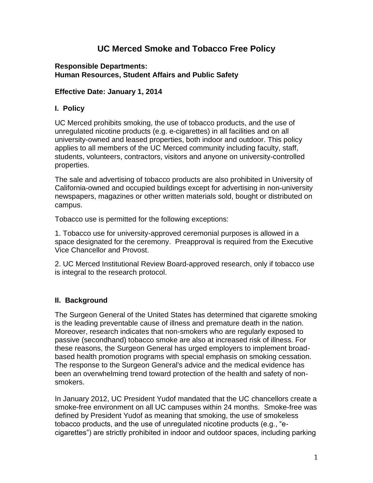# **UC Merced Smoke and Tobacco Free Policy**

#### **Responsible Departments: Human Resources, Student Affairs and Public Safety**

### **Effective Date: January 1, 2014**

### **I. Policy**

UC Merced prohibits smoking, the use of tobacco products, and the use of unregulated nicotine products (e.g. e-cigarettes) in all facilities and on all university-owned and leased properties, both indoor and outdoor. This policy applies to all members of the UC Merced community including faculty, staff, students, volunteers, contractors, visitors and anyone on university-controlled properties.

The sale and advertising of tobacco products are also prohibited in University of California-owned and occupied buildings except for advertising in non-university newspapers, magazines or other written materials sold, bought or distributed on campus.

Tobacco use is permitted for the following exceptions:

1. Tobacco use for university-approved ceremonial purposes is allowed in a space designated for the ceremony. Preapproval is required from the Executive Vice Chancellor and Provost.

2. UC Merced Institutional Review Board-approved research, only if tobacco use is integral to the research protocol.

## **II. Background**

The Surgeon General of the United States has determined that cigarette smoking is the leading preventable cause of illness and premature death in the nation. Moreover, research indicates that non-smokers who are regularly exposed to passive (secondhand) tobacco smoke are also at increased risk of illness. For these reasons, the Surgeon General has urged employers to implement broadbased health promotion programs with special emphasis on smoking cessation. The response to the Surgeon General's advice and the medical evidence has been an overwhelming trend toward protection of the health and safety of nonsmokers.

In January 2012, UC President Yudof mandated that the UC chancellors create a smoke-free environment on all UC campuses within 24 months. Smoke-free was defined by President Yudof as meaning that smoking, the use of smokeless tobacco products, and the use of unregulated nicotine products (e.g., "ecigarettes") are strictly prohibited in indoor and outdoor spaces, including parking